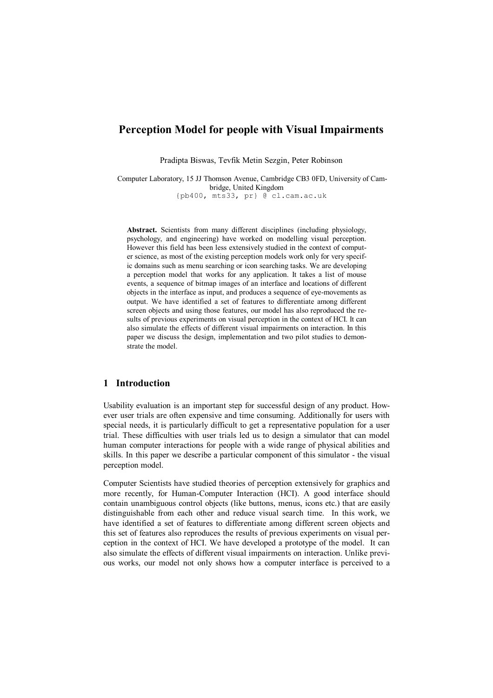# **Perception Model for people with Visual Impairments**

Pradipta Biswas, Tevfik Metin Sezgin, Peter Robinson

Computer Laboratory, 15 JJ Thomson Avenue, Cambridge CB3 0FD, University of Cambridge, United Kingdom {pb400, mts33, pr} @ cl.cam.ac.uk

**Abstract.** Scientists from many different disciplines (including physiology, psychology, and engineering) have worked on modelling visual perception. However this field has been less extensively studied in the context of computer science, as most of the existing perception models work only for very specific domains such as menu searching or icon searching tasks. We are developing a perception model that works for any application. It takes a list of mouse events, a sequence of bitmap images of an interface and locations of different objects in the interface as input, and produces a sequence of eye-movements as output. We have identified a set of features to differentiate among different screen objects and using those features, our model has also reproduced the results of previous experiments on visual perception in the context of HCI. It can also simulate the effects of different visual impairments on interaction. In this paper we discuss the design, implementation and two pilot studies to demonstrate the model.

### **1 Introduction**

Usability evaluation is an important step for successful design of any product. However user trials are often expensive and time consuming. Additionally for users with special needs, it is particularly difficult to get a representative population for a user trial. These difficulties with user trials led us to design a simulator that can model human computer interactions for people with a wide range of physical abilities and skills. In this paper we describe a particular component of this simulator - the visual perception model.

Computer Scientists have studied theories of perception extensively for graphics and more recently, for Human-Computer Interaction (HCI). A good interface should contain unambiguous control objects (like buttons, menus, icons etc.) that are easily distinguishable from each other and reduce visual search time. In this work, we have identified a set of features to differentiate among different screen objects and this set of features also reproduces the results of previous experiments on visual perception in the context of HCI. We have developed a prototype of the model. It can also simulate the effects of different visual impairments on interaction. Unlike previous works, our model not only shows how a computer interface is perceived to a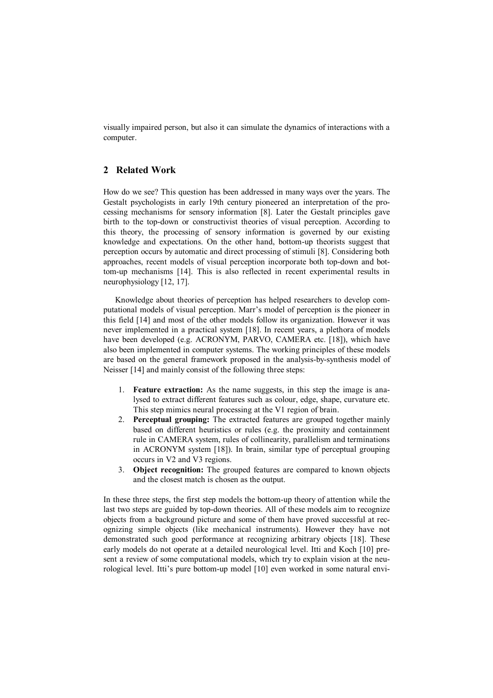visually impaired person, but also it can simulate the dynamics of interactions with a computer.

# **2 Related Work**

How do we see? This question has been addressed in many ways over the years. The Gestalt psychologists in early 19th century pioneered an interpretation of the processing mechanisms for sensory information [8]. Later the Gestalt principles gave birth to the top-down or constructivist theories of visual perception. According to this theory, the processing of sensory information is governed by our existing knowledge and expectations. On the other hand, bottom-up theorists suggest that perception occurs by automatic and direct processing of stimuli [8]. Considering both approaches, recent models of visual perception incorporate both top-down and bottom-up mechanisms [14]. This is also reflected in recent experimental results in neurophysiology [12, 17].

Knowledge about theories of perception has helped researchers to develop computational models of visual perception. Marr's model of perception is the pioneer in this field [14] and most of the other models follow its organization. However it was never implemented in a practical system [18]. In recent years, a plethora of models have been developed (e.g. ACRONYM, PARVO, CAMERA etc. [18]), which have also been implemented in computer systems. The working principles of these models are based on the general framework proposed in the analysis-by-synthesis model of Neisser [14] and mainly consist of the following three steps:

- 1. **Feature extraction:** As the name suggests, in this step the image is analysed to extract different features such as colour, edge, shape, curvature etc. This step mimics neural processing at the V1 region of brain.
- 2. **Perceptual grouping:** The extracted features are grouped together mainly based on different heuristics or rules (e.g. the proximity and containment rule in CAMERA system, rules of collinearity, parallelism and terminations in ACRONYM system [18]). In brain, similar type of perceptual grouping occurs in V2 and V3 regions.
- 3. **Object recognition:** The grouped features are compared to known objects and the closest match is chosen as the output.

In these three steps, the first step models the bottom-up theory of attention while the last two steps are guided by top-down theories. All of these models aim to recognize objects from a background picture and some of them have proved successful at recognizing simple objects (like mechanical instruments). However they have not demonstrated such good performance at recognizing arbitrary objects [18]. These early models do not operate at a detailed neurological level. Itti and Koch [10] present a review of some computational models, which try to explain vision at the neurological level. Itti's pure bottom-up model [10] even worked in some natural envi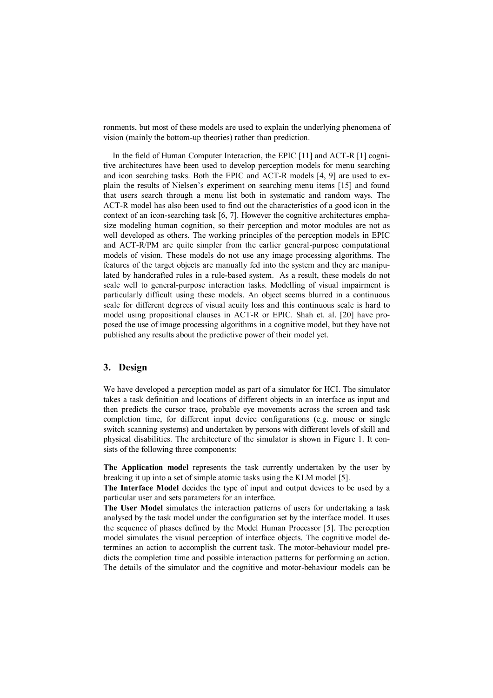ronments, but most of these models are used to explain the underlying phenomena of vision (mainly the bottom-up theories) rather than prediction.

In the field of Human Computer Interaction, the EPIC [11] and ACT-R [1] cognitive architectures have been used to develop perception models for menu searching and icon searching tasks. Both the EPIC and ACT-R models [4, 9] are used to explain the results of Nielsen's experiment on searching menu items [15] and found that users search through a menu list both in systematic and random ways. The ACT-R model has also been used to find out the characteristics of a good icon in the context of an icon-searching task [6, 7]. However the cognitive architectures emphasize modeling human cognition, so their perception and motor modules are not as well developed as others. The working principles of the perception models in EPIC and ACT-R/PM are quite simpler from the earlier general-purpose computational models of vision. These models do not use any image processing algorithms. The features of the target objects are manually fed into the system and they are manipulated by handcrafted rules in a rule-based system. As a result, these models do not scale well to general-purpose interaction tasks. Modelling of visual impairment is particularly difficult using these models. An object seems blurred in a continuous scale for different degrees of visual acuity loss and this continuous scale is hard to model using propositional clauses in ACT-R or EPIC. Shah et. al. [20] have proposed the use of image processing algorithms in a cognitive model, but they have not published any results about the predictive power of their model yet.

### **3. Design**

We have developed a perception model as part of a simulator for HCI. The simulator takes a task definition and locations of different objects in an interface as input and then predicts the cursor trace, probable eye movements across the screen and task completion time, for different input device configurations (e.g. mouse or single switch scanning systems) and undertaken by persons with different levels of skill and physical disabilities. The architecture of the simulator is shown in Figure 1. It consists of the following three components:

**The Application model** represents the task currently undertaken by the user by breaking it up into a set of simple atomic tasks using the KLM model [5].

**The Interface Model** decides the type of input and output devices to be used by a particular user and sets parameters for an interface.

**The User Model** simulates the interaction patterns of users for undertaking a task analysed by the task model under the configuration set by the interface model. It uses the sequence of phases defined by the Model Human Processor [5]. The perception model simulates the visual perception of interface objects. The cognitive model determines an action to accomplish the current task. The motor-behaviour model predicts the completion time and possible interaction patterns for performing an action. The details of the simulator and the cognitive and motor-behaviour models can be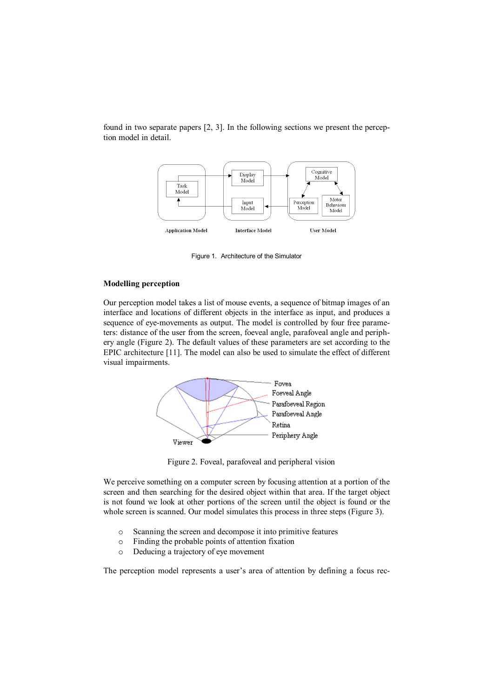found in two separate papers [2, 3]. In the following sections we present the perception model in detail.



Figure 1. Architecture of the Simulator

#### **Modelling perception**

Our perception model takes a list of mouse events, a sequence of bitmap images of an interface and locations of different objects in the interface as input, and produces a sequence of eye-movements as output. The model is controlled by four free parameters: distance of the user from the screen, foeveal angle, parafoveal angle and periphery angle (Figure 2). The default values of these parameters are set according to the EPIC architecture [11]. The model can also be used to simulate the effect of different visual impairments.



Figure 2. Foveal, parafoveal and peripheral vision

We perceive something on a computer screen by focusing attention at a portion of the screen and then searching for the desired object within that area. If the target object is not found we look at other portions of the screen until the object is found or the whole screen is scanned. Our model simulates this process in three steps (Figure 3).

- o Scanning the screen and decompose it into primitive features
- o Finding the probable points of attention fixation
- o Deducing a trajectory of eye movement

The perception model represents a user's area of attention by defining a focus rec-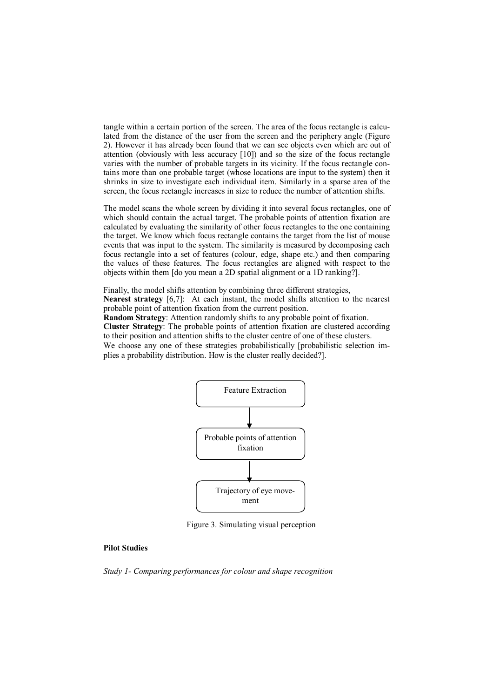tangle within a certain portion of the screen. The area of the focus rectangle is calculated from the distance of the user from the screen and the periphery angle (Figure 2). However it has already been found that we can see objects even which are out of attention (obviously with less accuracy [10]) and so the size of the focus rectangle varies with the number of probable targets in its vicinity. If the focus rectangle contains more than one probable target (whose locations are input to the system) then it shrinks in size to investigate each individual item. Similarly in a sparse area of the screen, the focus rectangle increases in size to reduce the number of attention shifts.

The model scans the whole screen by dividing it into several focus rectangles, one of which should contain the actual target. The probable points of attention fixation are calculated by evaluating the similarity of other focus rectangles to the one containing the target. We know which focus rectangle contains the target from the list of mouse events that was input to the system. The similarity is measured by decomposing each focus rectangle into a set of features (colour, edge, shape etc.) and then comparing the values of these features. The focus rectangles are aligned with respect to the objects within them [do you mean a 2D spatial alignment or a 1D ranking?].

Finally, the model shifts attention by combining three different strategies, **Nearest strategy** [6,7]: At each instant, the model shifts attention to the nearest probable point of attention fixation from the current position. **Random Strategy**: Attention randomly shifts to any probable point of fixation. **Cluster Strategy**: The probable points of attention fixation are clustered according to their position and attention shifts to the cluster centre of one of these clusters. We choose any one of these strategies probabilistically [probabilistic selection implies a probability distribution. How is the cluster really decided?].



Figure 3. Simulating visual perception

### **Pilot Studies**

*Study 1- Comparing performances for colour and shape recognition*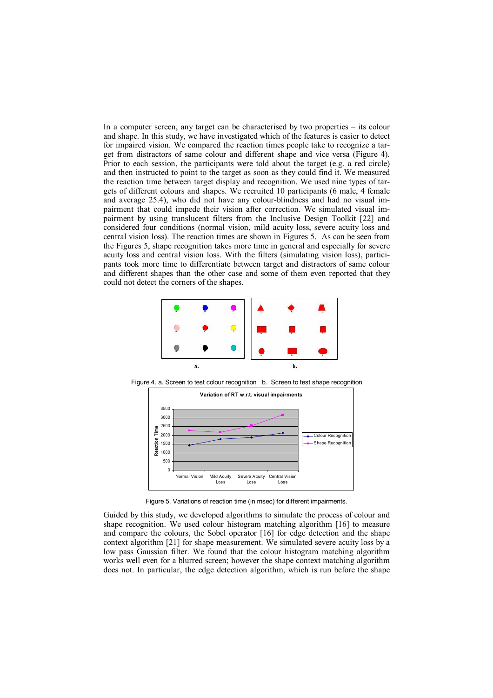In a computer screen, any target can be characterised by two properties – its colour and shape. In this study, we have investigated which of the features is easier to detect for impaired vision. We compared the reaction times people take to recognize a target from distractors of same colour and different shape and vice versa (Figure 4). Prior to each session, the participants were told about the target (e.g. a red circle) and then instructed to point to the target as soon as they could find it. We measured the reaction time between target display and recognition. We used nine types of targets of different colours and shapes. We recruited 10 participants (6 male, 4 female and average 25.4), who did not have any colour-blindness and had no visual impairment that could impede their vision after correction. We simulated visual impairment by using translucent filters from the Inclusive Design Toolkit [22] and considered four conditions (normal vision, mild acuity loss, severe acuity loss and central vision loss). The reaction times are shown in Figures 5. As can be seen from the Figures 5, shape recognition takes more time in general and especially for severe acuity loss and central vision loss. With the filters (simulating vision loss), participants took more time to differentiate between target and distractors of same colour and different shapes than the other case and some of them even reported that they could not detect the corners of the shapes.



Figure 4. a. Screen to test colour recognition b. Screen to test shape recognition



Figure 5. Variations of reaction time (in msec) for different impairments.

Guided by this study, we developed algorithms to simulate the process of colour and shape recognition. We used colour histogram matching algorithm [16] to measure and compare the colours, the Sobel operator [16] for edge detection and the shape context algorithm [21] for shape measurement. We simulated severe acuity loss by a low pass Gaussian filter. We found that the colour histogram matching algorithm works well even for a blurred screen; however the shape context matching algorithm does not. In particular, the edge detection algorithm, which is run before the shape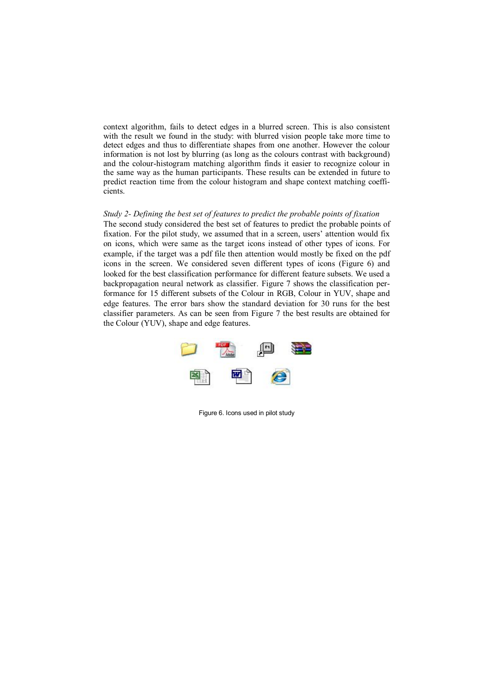context algorithm, fails to detect edges in a blurred screen. This is also consistent with the result we found in the study: with blurred vision people take more time to detect edges and thus to differentiate shapes from one another. However the colour information is not lost by blurring (as long as the colours contrast with background) and the colour-histogram matching algorithm finds it easier to recognize colour in the same way as the human participants. These results can be extended in future to predict reaction time from the colour histogram and shape context matching coefficients.

#### *Study 2- Defining the best set of features to predict the probable points of fixation*

The second study considered the best set of features to predict the probable points of fixation. For the pilot study, we assumed that in a screen, users' attention would fix on icons, which were same as the target icons instead of other types of icons. For example, if the target was a pdf file then attention would mostly be fixed on the pdf icons in the screen. We considered seven different types of icons (Figure 6) and looked for the best classification performance for different feature subsets. We used a backpropagation neural network as classifier. Figure 7 shows the classification performance for 15 different subsets of the Colour in RGB, Colour in YUV, shape and edge features. The error bars show the standard deviation for 30 runs for the best classifier parameters. As can be seen from Figure 7 the best results are obtained for the Colour (YUV), shape and edge features.



Figure 6. Icons used in pilot study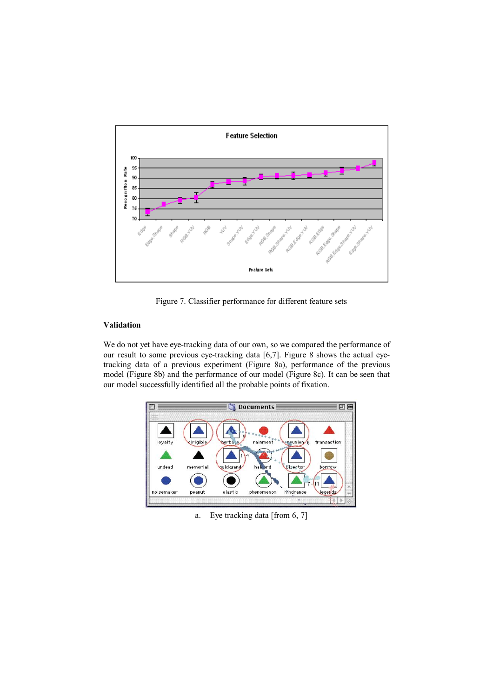

Figure 7. Classifier performance for different feature sets

# **Validation**

We do not yet have eye-tracking data of our own, so we compared the performance of our result to some previous eye-tracking data [6,7]. Figure 8 shows the actual eyetracking data of a previous experiment (Figure 8a), performance of the previous model (Figure 8b) and the performance of our model (Figure 8c). It can be seen that our model successfully identified all the probable points of fixation.



a. Eye tracking data [from 6, 7]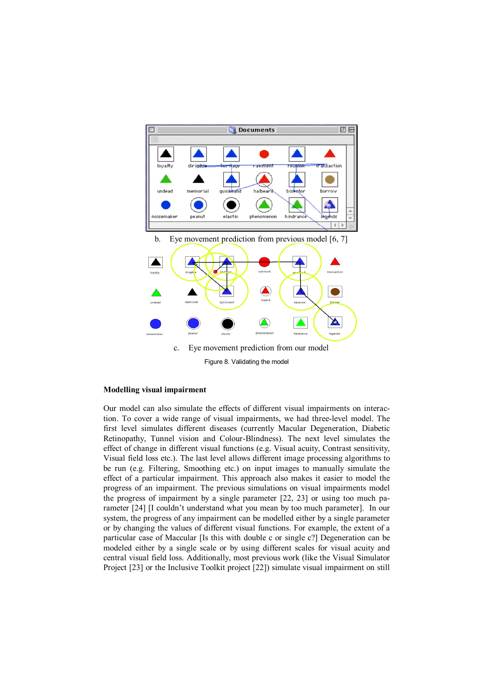

#### **Modelling visual impairment**

Our model can also simulate the effects of different visual impairments on interaction. To cover a wide range of visual impairments, we had three-level model. The first level simulates different diseases (currently Macular Degeneration, Diabetic Retinopathy, Tunnel vision and Colour-Blindness). The next level simulates the effect of change in different visual functions (e.g. Visual acuity, Contrast sensitivity, Visual field loss etc.). The last level allows different image processing algorithms to be run (e.g. Filtering, Smoothing etc.) on input images to manually simulate the effect of a particular impairment. This approach also makes it easier to model the progress of an impairment. The previous simulations on visual impairments model the progress of impairment by a single parameter [22, 23] or using too much parameter [24] [I couldn't understand what you mean by too much parameter]. In our system, the progress of any impairment can be modelled either by a single parameter or by changing the values of different visual functions. For example, the extent of a particular case of Maccular [Is this with double c or single c?] Degeneration can be modeled either by a single scale or by using different scales for visual acuity and central visual field loss. Additionally, most previous work (like the Visual Simulator Project [23] or the Inclusive Toolkit project [22]) simulate visual impairment on still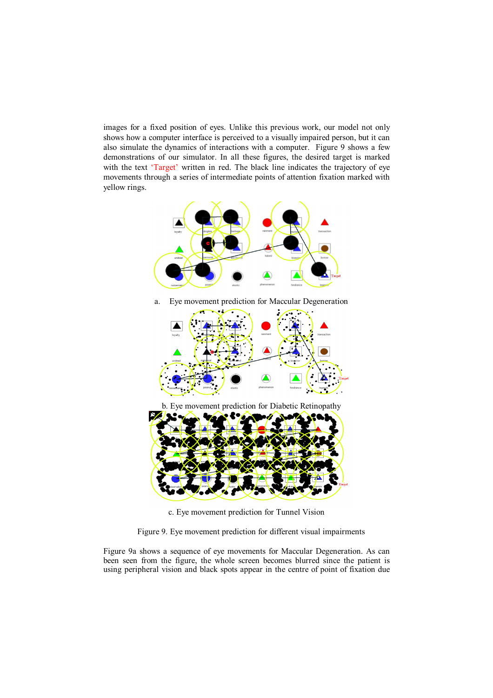images for a fixed position of eyes. Unlike this previous work, our model not only shows how a computer interface is perceived to a visually impaired person, but it can also simulate the dynamics of interactions with a computer. Figure 9 shows a few demonstrations of our simulator. In all these figures, the desired target is marked with the text 'Target' written in red. The black line indicates the trajectory of eye movements through a series of intermediate points of attention fixation marked with yellow rings.



a. Eye movement prediction for Maccular Degeneration





c. Eye movement prediction for Tunnel Vision

Figure 9. Eye movement prediction for different visual impairments

Figure 9a shows a sequence of eye movements for Maccular Degeneration. As can been seen from the figure, the whole screen becomes blurred since the patient is using peripheral vision and black spots appear in the centre of point of fixation due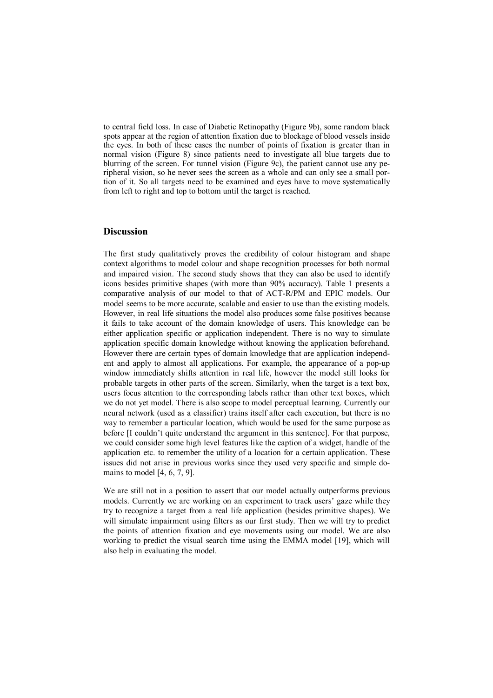to central field loss. In case of Diabetic Retinopathy (Figure 9b), some random black spots appear at the region of attention fixation due to blockage of blood vessels inside the eyes. In both of these cases the number of points of fixation is greater than in normal vision (Figure 8) since patients need to investigate all blue targets due to blurring of the screen. For tunnel vision (Figure 9c), the patient cannot use any peripheral vision, so he never sees the screen as a whole and can only see a small portion of it. So all targets need to be examined and eyes have to move systematically from left to right and top to bottom until the target is reached.

## **Discussion**

The first study qualitatively proves the credibility of colour histogram and shape context algorithms to model colour and shape recognition processes for both normal and impaired vision. The second study shows that they can also be used to identify icons besides primitive shapes (with more than 90% accuracy). Table 1 presents a comparative analysis of our model to that of ACT-R/PM and EPIC models. Our model seems to be more accurate, scalable and easier to use than the existing models. However, in real life situations the model also produces some false positives because it fails to take account of the domain knowledge of users. This knowledge can be either application specific or application independent. There is no way to simulate application specific domain knowledge without knowing the application beforehand. However there are certain types of domain knowledge that are application independent and apply to almost all applications. For example, the appearance of a pop-up window immediately shifts attention in real life, however the model still looks for probable targets in other parts of the screen. Similarly, when the target is a text box, users focus attention to the corresponding labels rather than other text boxes, which we do not yet model. There is also scope to model perceptual learning. Currently our neural network (used as a classifier) trains itself after each execution, but there is no way to remember a particular location, which would be used for the same purpose as before [I couldn't quite understand the argument in this sentence]. For that purpose, we could consider some high level features like the caption of a widget, handle of the application etc. to remember the utility of a location for a certain application. These issues did not arise in previous works since they used very specific and simple domains to model  $[4, 6, 7, 9]$ .

We are still not in a position to assert that our model actually outperforms previous models. Currently we are working on an experiment to track users' gaze while they try to recognize a target from a real life application (besides primitive shapes). We will simulate impairment using filters as our first study. Then we will try to predict the points of attention fixation and eye movements using our model. We are also working to predict the visual search time using the EMMA model [19], which will also help in evaluating the model.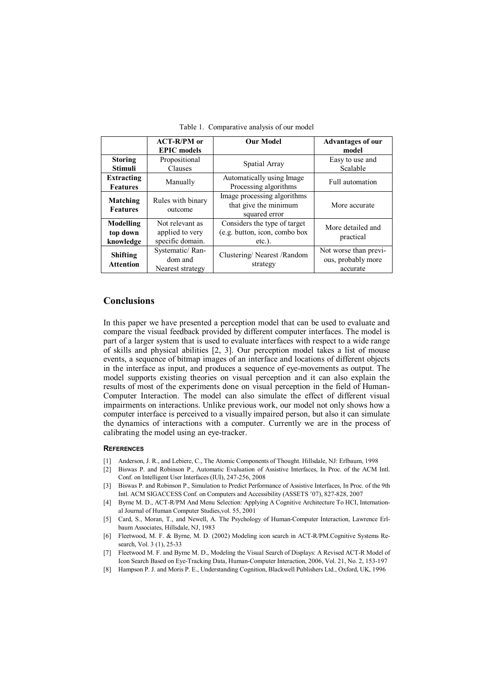|                                      | $ACT-R/PM$ or<br><b>EPIC</b> models                    | <b>Our Model</b>                                                           | <b>Advantages of our</b><br>model                       |
|--------------------------------------|--------------------------------------------------------|----------------------------------------------------------------------------|---------------------------------------------------------|
| <b>Storing</b><br><b>Stimuli</b>     | Propositional<br>Clauses                               | Spatial Array                                                              | Easy to use and<br>Scalable                             |
| <b>Extracting</b><br><b>Features</b> | Manually                                               | Automatically using Image<br>Processing algorithms                         | Full automation                                         |
| Matching<br><b>Features</b>          | Rules with binary<br>outcome                           | Image processing algorithms<br>that give the minimum<br>squared error      | More accurate                                           |
| Modelling<br>top down<br>knowledge   | Not relevant as<br>applied to very<br>specific domain. | Considers the type of target<br>(e.g. button, icon, combo box<br>$etc.$ ). | More detailed and<br>practical                          |
| <b>Shifting</b><br><b>Attention</b>  | Systematic/Ran-<br>dom and<br>Nearest strategy         | Clustering/Nearest/Random<br>strategy                                      | Not worse than previ-<br>ous, probably more<br>accurate |

### **Conclusions**

In this paper we have presented a perception model that can be used to evaluate and compare the visual feedback provided by different computer interfaces. The model is part of a larger system that is used to evaluate interfaces with respect to a wide range of skills and physical abilities [2, 3]. Our perception model takes a list of mouse events, a sequence of bitmap images of an interface and locations of different objects in the interface as input, and produces a sequence of eye-movements as output. The model supports existing theories on visual perception and it can also explain the results of most of the experiments done on visual perception in the field of Human-Computer Interaction. The model can also simulate the effect of different visual impairments on interactions. Unlike previous work, our model not only shows how a computer interface is perceived to a visually impaired person, but also it can simulate the dynamics of interactions with a computer. Currently we are in the process of calibrating the model using an eye-tracker.

#### **REFERENCES**

- [1] Anderson, J. R., and Lebiere, C., The Atomic Components of Thought. Hillsdale, NJ: Erlbaum, 1998
- [2] Biswas P. and Robinson P., Automatic Evaluation of Assistive Interfaces, In Proc. of the ACM Intl. Conf. on Intelligent User Interfaces (IUI), 247-256, 2008
- [3] Biswas P. and Robinson P., Simulation to Predict Performance of Assistive Interfaces, In Proc. of the 9th Intl. ACM SIGACCESS Conf. on Computers and Accessibility (ASSETS '07), 827-828, 2007
- [4] Byrne M. D., ACT-R/PM And Menu Selection: Applying A Cognitive Architecture To HCI, International Journal of Human Computer Studies,vol. 55, 2001
- [5] Card, S., Moran, T., and Newell, A. The Psychology of Human-Computer Interaction, Lawrence Erlbaum Associates, Hillsdale, NJ, 1983
- [6] Fleetwood, M. F. & Byrne, M. D. (2002) Modeling icon search in ACT-R/PM.Cognitive Systems Research, Vol. 3 (1), 25-33
- [7] Fleetwood M. F. and Byrne M. D., Modeling the Visual Search of Displays: A Revised ACT-R Model of Icon Search Based on Eye-Tracking Data, Human-Computer Interaction, 2006, Vol. 21, No. 2, 153-197
- [8] Hampson P. J. and Moris P. E., Understanding Cognition, Blackwell Publishers Ltd., Oxford, UK, 1996